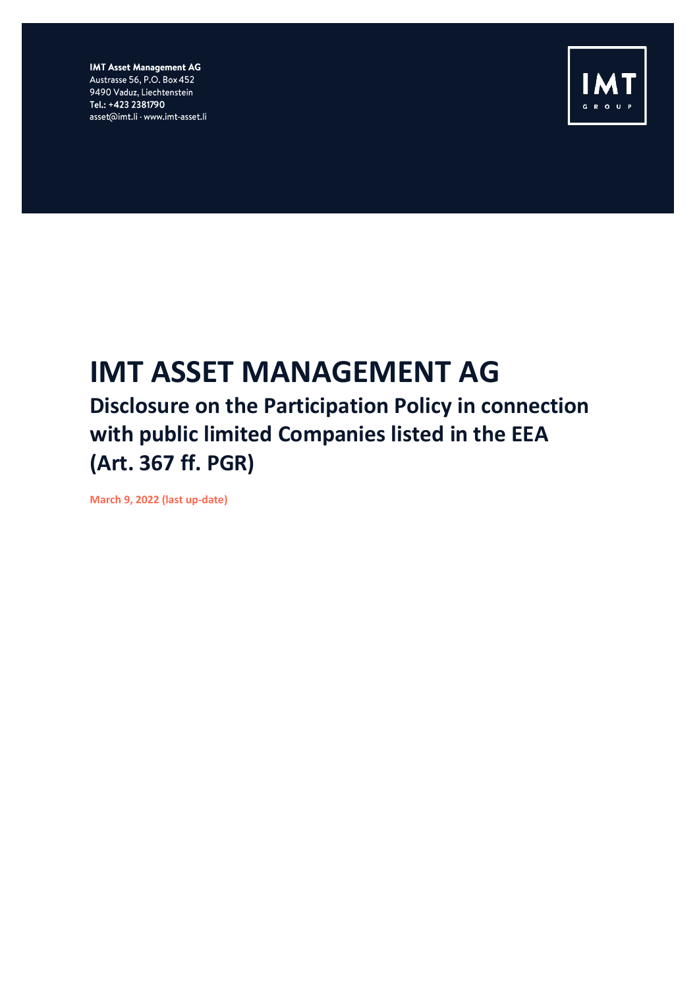**IMT Asset Management AG** Austrasse 56, P.O. Box 452 9490 Vaduz, Liechtenstein Tel.: +423 2381790 asset@imt.li · www.imt-asset.li



## **IMT ASSET MANAGEMENT AG**

## **Disclosure on the Participation Policy in connection with public limited Companies listed in the EEA (Art. 367 ff. PGR)**

**March 9, 2022 (last up-date)**